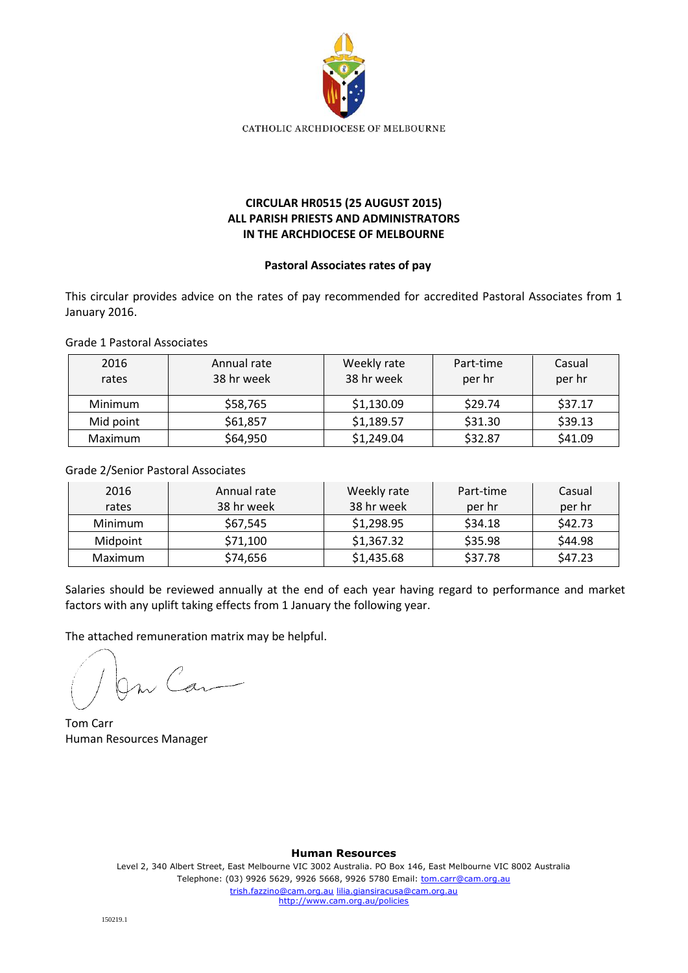

## **CIRCULAR HR0515 (25 AUGUST 2015) ALL PARISH PRIESTS AND ADMINISTRATORS IN THE ARCHDIOCESE OF MELBOURNE**

## **Pastoral Associates rates of pay**

This circular provides advice on the rates of pay recommended for accredited Pastoral Associates from 1 January 2016.

Grade 1 Pastoral Associates

| 2016<br>rates | Annual rate<br>38 hr week | Weekly rate<br>38 hr week | Part-time<br>per hr | Casual<br>per hr |
|---------------|---------------------------|---------------------------|---------------------|------------------|
| Minimum       | \$58,765                  | \$1,130.09                | \$29.74             | \$37.17          |
| Mid point     | \$61,857                  | \$1,189.57                | \$31.30             | \$39.13          |
| Maximum       | \$64,950                  | \$1,249.04                | \$32.87             | \$41.09          |

Grade 2/Senior Pastoral Associates

| 2016     | Annual rate | Weekly rate | Part-time | Casual  |
|----------|-------------|-------------|-----------|---------|
| rates    | 38 hr week  | 38 hr week  | per hr    | per hr  |
| Minimum  | \$67,545    | \$1,298.95  | \$34.18   | \$42.73 |
| Midpoint | \$71,100    | \$1,367.32  | \$35.98   | \$44.98 |
| Maximum  | \$74,656    | \$1,435.68  | \$37.78   | \$47.23 |

Salaries should be reviewed annually at the end of each year having regard to performance and market factors with any uplift taking effects from 1 January the following year.

The attached remuneration matrix may be helpful.

m Can

Tom Carr Human Resources Manager

**Human Resources**

Level 2, 340 Albert Street, East Melbourne VIC 3002 Australia. PO Box 146, East Melbourne VIC 8002 Australia Telephone: (03) 9926 5629, 9926 5668, 9926 5780 Email: tom.carr@cam.org.au trish.fazzino@cam.org.au lilia.giansiracusa@cam.org.au http://www.cam.org.au/policies